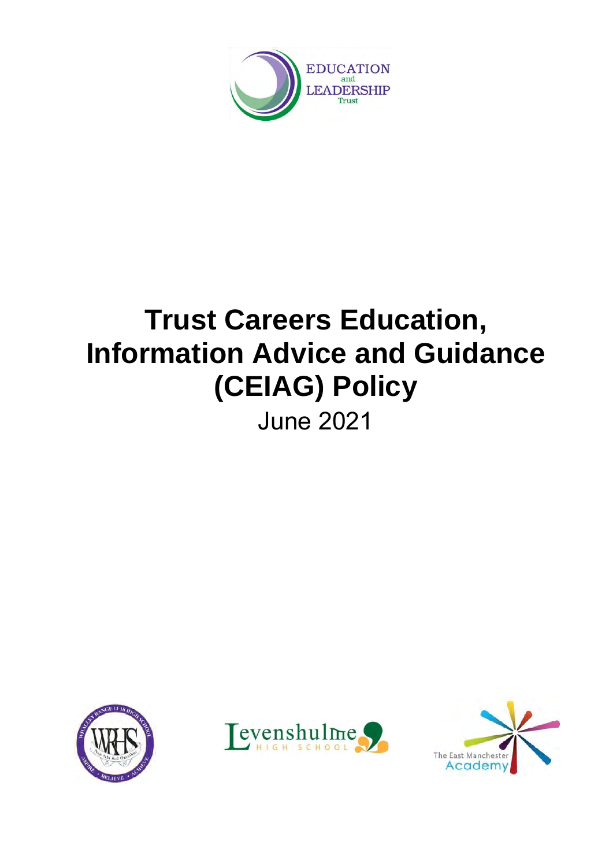

# **Trust Careers Education, Information Advice and Guidance (CEIAG) Policy**

June 2021





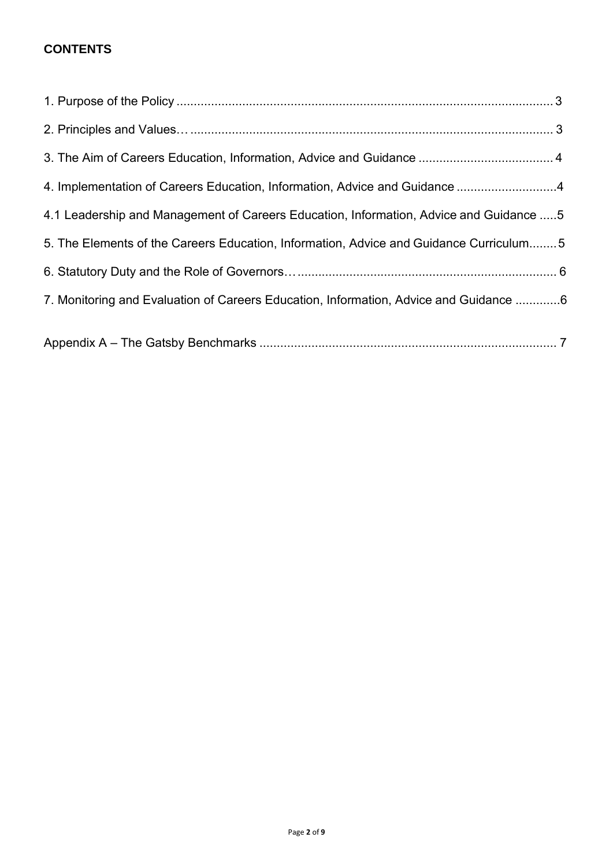## **CONTENTS**

| 4. Implementation of Careers Education, Information, Advice and Guidance 4             |
|----------------------------------------------------------------------------------------|
| 4.1 Leadership and Management of Careers Education, Information, Advice and Guidance 5 |
| 5. The Elements of the Careers Education, Information, Advice and Guidance Curriculum5 |
|                                                                                        |
| 7. Monitoring and Evaluation of Careers Education, Information, Advice and Guidance 6  |
|                                                                                        |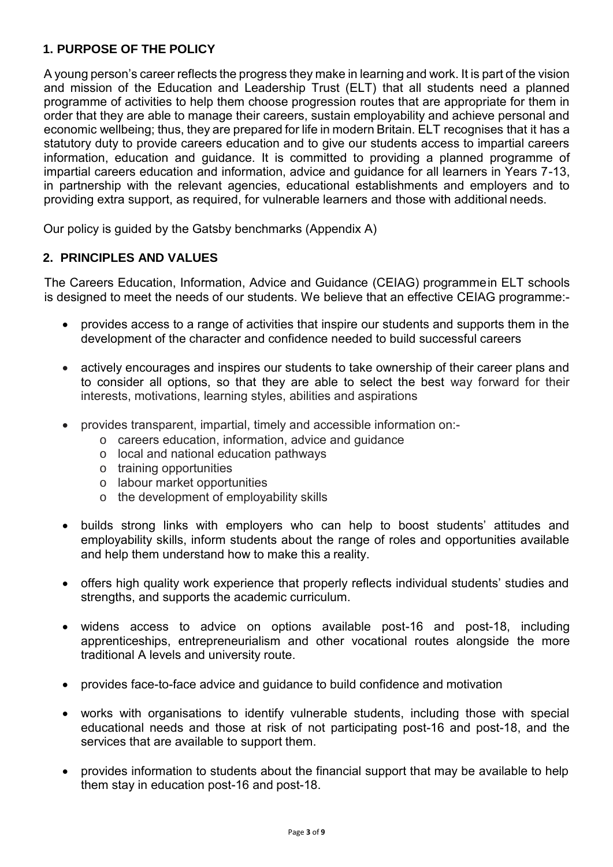## <span id="page-2-0"></span>**1. PURPOSE OF THE POLICY**

A young person's career reflects the progress they make in learning and work. It is part of the vision and mission of the Education and Leadership Trust (ELT) that all students need a planned programme of activities to help them choose progression routes that are appropriate for them in order that they are able to manage their careers, sustain employability and achieve personal and economic wellbeing; thus, they are prepared for life in modern Britain. ELT recognises that it has a statutory duty to provide careers education and to give our students access to impartial careers information, education and guidance. It is committed to providing a planned programme of impartial careers education and information, advice and guidance for all learners in Years 7-13, in partnership with the relevant agencies, educational establishments and employers and to providing extra support, as required, for vulnerable learners and those with additional needs.

Our policy is guided by the Gatsby benchmarks (Appendix A)

#### <span id="page-2-1"></span>**2. PRINCIPLES AND VALUES**

The Careers Education, Information, Advice and Guidance (CEIAG) programmein ELT schools is designed to meet the needs of our students. We believe that an effective CEIAG programme:-

- provides access to a range of activities that inspire our students and supports them in the development of the character and confidence needed to build successful careers
- actively encourages and inspires our students to take ownership of their career plans and to consider all options, so that they are able to select the best way forward for their interests, motivations, learning styles, abilities and aspirations
- provides transparent, impartial, timely and accessible information on:
	- o careers education, information, advice and guidance
	- o local and national education pathways
	- o training opportunities
	- o labour market opportunities
	- o the development of employability skills
- builds strong links with employers who can help to boost students' attitudes and employability skills, inform students about the range of roles and opportunities available and help them understand how to make this a reality.
- offers high quality work experience that properly reflects individual students' studies and strengths, and supports the academic curriculum.
- widens access to advice on options available post-16 and post-18, including apprenticeships, entrepreneurialism and other vocational routes alongside the more traditional A levels and university route.
- provides face-to-face advice and guidance to build confidence and motivation
- works with organisations to identify vulnerable students, including those with special educational needs and those at risk of not participating post-16 and post-18, and the services that are available to support them.
- provides information to students about the financial support that may be available to help them stay in education post-16 and post-18.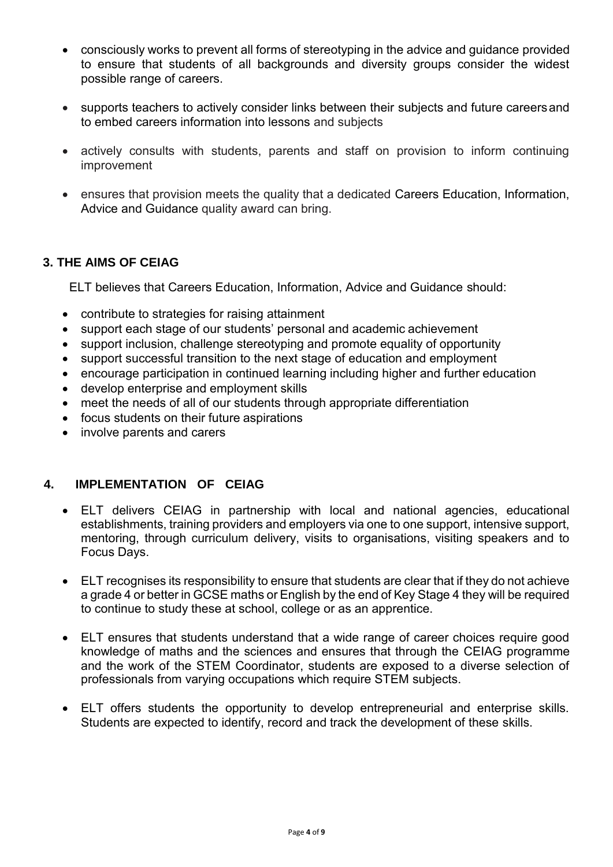- consciously works to prevent all forms of stereotyping in the advice and guidance provided to ensure that students of all backgrounds and diversity groups consider the widest possible range of careers.
- supports teachers to actively consider links between their subjects and future careersand to embed careers information into lessons and subjects
- actively consults with students, parents and staff on provision to inform continuing improvement
- ensures that provision meets the quality that a dedicated Careers Education, Information, Advice and Guidance quality award can bring.

#### <span id="page-3-0"></span>**3. THE AIMS OF CEIAG**

ELT believes that Careers Education, Information, Advice and Guidance should:

- contribute to strategies for raising attainment
- support each stage of our students' personal and academic achievement
- support inclusion, challenge stereotyping and promote equality of opportunity
- support successful transition to the next stage of education and employment
- encourage participation in continued learning including higher and further education
- develop enterprise and employment skills
- meet the needs of all of our students through appropriate differentiation
- focus students on their future aspirations
- involve parents and carers

#### <span id="page-3-1"></span>**4. IMPLEMENTATION OF CEIAG**

- ELT delivers CEIAG in partnership with local and national agencies, educational establishments, training providers and employers via one to one support, intensive support, mentoring, through curriculum delivery, visits to organisations, visiting speakers and to Focus Days.
- ELT recognises its responsibility to ensure that students are clear that if they do not achieve a grade 4 or better in GCSE maths or English by the end of Key Stage 4 they will be required to continue to study these at school, college or as an apprentice.
- ELT ensures that students understand that a wide range of career choices require good knowledge of maths and the sciences and ensures that through the CEIAG programme and the work of the STEM Coordinator, students are exposed to a diverse selection of professionals from varying occupations which require STEM subjects.
- ELT offers students the opportunity to develop entrepreneurial and enterprise skills. Students are expected to identify, record and track the development of these skills.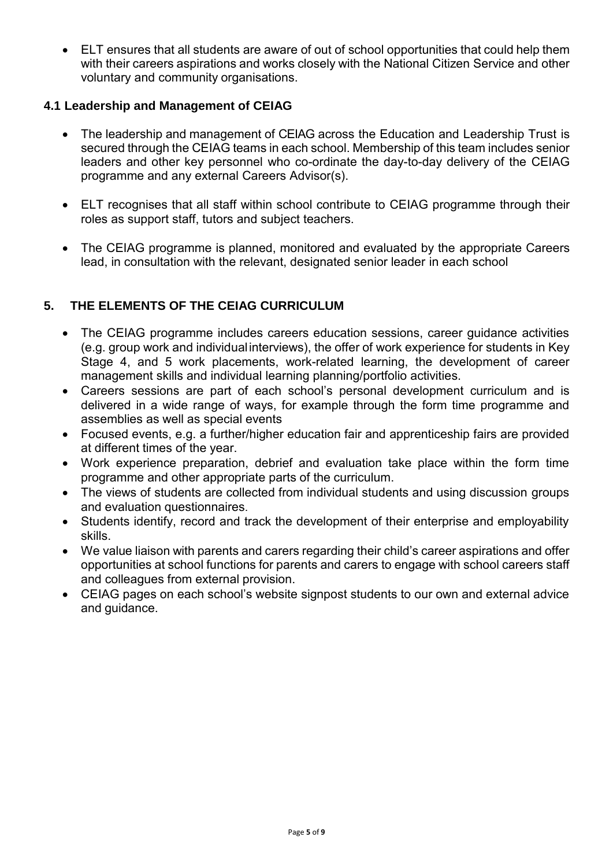• ELT ensures that all students are aware of out of school opportunities that could help them with their careers aspirations and works closely with the National Citizen Service and other voluntary and community organisations.

#### <span id="page-4-0"></span>**4.1 Leadership and Management of CEIAG**

- The leadership and management of CEIAG across the Education and Leadership Trust is secured through the CEIAG teams in each school. Membership of this team includes senior leaders and other key personnel who co-ordinate the day-to-day delivery of the CEIAG programme and any external Careers Advisor(s).
- ELT recognises that all staff within school contribute to CEIAG programme through their roles as support staff, tutors and subject teachers.
- The CEIAG programme is planned, monitored and evaluated by the appropriate Careers lead, in consultation with the relevant, designated senior leader in each school

#### <span id="page-4-1"></span>**5. THE ELEMENTS OF THE CEIAG CURRICULUM**

- The CEIAG programme includes careers education sessions, career guidance activities (e.g. group work and individualinterviews), the offer of work experience for students in Key Stage 4, and 5 work placements, work-related learning, the development of career management skills and individual learning planning/portfolio activities.
- Careers sessions are part of each school's personal development curriculum and is delivered in a wide range of ways, for example through the form time programme and assemblies as well as special events
- Focused events, e.g. a further/higher education fair and apprenticeship fairs are provided at different times of the year.
- Work experience preparation, debrief and evaluation take place within the form time programme and other appropriate parts of the curriculum.
- The views of students are collected from individual students and using discussion groups and evaluation questionnaires.
- Students identify, record and track the development of their enterprise and employability skills.
- We value liaison with parents and carers regarding their child's career aspirations and offer opportunities at school functions for parents and carers to engage with school careers staff and colleagues from external provision.
- CEIAG pages on each school's website signpost students to our own and external advice and guidance.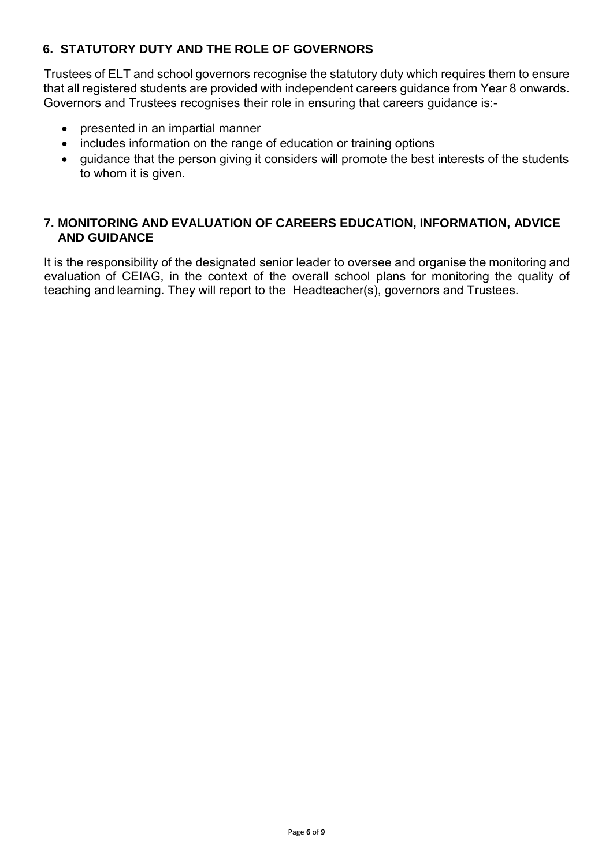## <span id="page-5-0"></span>**6. STATUTORY DUTY AND THE ROLE OF GOVERNORS**

Trustees of ELT and school governors recognise the statutory duty which requires them to ensure that all registered students are provided with independent careers guidance from Year 8 onwards. Governors and Trustees recognises their role in ensuring that careers guidance is:-

- presented in an impartial manner
- includes information on the range of education or training options
- quidance that the person giving it considers will promote the best interests of the students to whom it is given.

#### <span id="page-5-1"></span>**7. MONITORING AND EVALUATION OF CAREERS EDUCATION, INFORMATION, ADVICE AND GUIDANCE**

It is the responsibility of the designated senior leader to oversee and organise the monitoring and evaluation of CEIAG, in the context of the overall school plans for monitoring the quality of teaching and learning. They will report to the Headteacher(s), governors and Trustees.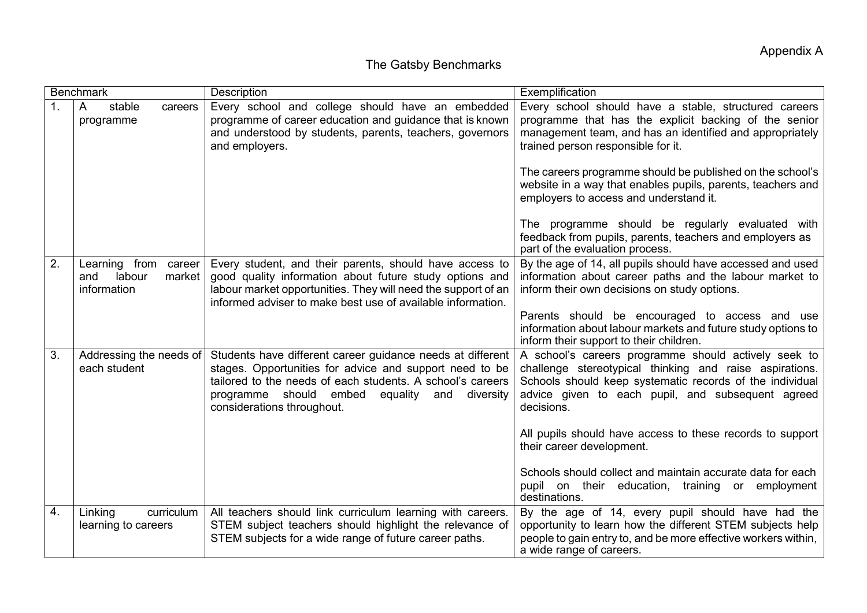## The Gatsby Benchmarks

| <b>Benchmark</b> |                                                                      | Description                                                                                                                                                                                                                                                                 | Exemplification                                                                                                                                                                                                                                                                                                                                                                                                                                                                                                                           |
|------------------|----------------------------------------------------------------------|-----------------------------------------------------------------------------------------------------------------------------------------------------------------------------------------------------------------------------------------------------------------------------|-------------------------------------------------------------------------------------------------------------------------------------------------------------------------------------------------------------------------------------------------------------------------------------------------------------------------------------------------------------------------------------------------------------------------------------------------------------------------------------------------------------------------------------------|
| $\mathbf{1}$ .   | stable<br>$\mathsf{A}$<br>careers<br>programme                       | Every school and college should have an embedded<br>programme of career education and guidance that is known<br>and understood by students, parents, teachers, governors<br>and employers.                                                                                  | Every school should have a stable, structured careers<br>programme that has the explicit backing of the senior<br>management team, and has an identified and appropriately<br>trained person responsible for it.<br>The careers programme should be published on the school's<br>website in a way that enables pupils, parents, teachers and<br>employers to access and understand it.<br>The programme should be regularly evaluated with<br>feedback from pupils, parents, teachers and employers as<br>part of the evaluation process. |
| 2.               | Learning<br>from<br>career<br>labour<br>and<br>market<br>information | Every student, and their parents, should have access to<br>good quality information about future study options and<br>labour market opportunities. They will need the support of an<br>informed adviser to make best use of available information.                          | By the age of 14, all pupils should have accessed and used<br>information about career paths and the labour market to<br>inform their own decisions on study options.<br>Parents should be encouraged to access and use<br>information about labour markets and future study options to<br>inform their support to their children.                                                                                                                                                                                                        |
| 3.               | Addressing the needs of<br>each student                              | Students have different career guidance needs at different<br>stages. Opportunities for advice and support need to be<br>tailored to the needs of each students. A school's careers<br>programme should embed<br>equality<br>and<br>diversity<br>considerations throughout. | A school's careers programme should actively seek to<br>challenge stereotypical thinking and raise aspirations.<br>Schools should keep systematic records of the individual<br>advice given to each pupil, and subsequent agreed<br>decisions.<br>All pupils should have access to these records to support<br>their career development.<br>Schools should collect and maintain accurate data for each<br>pupil on their education, training or employment<br>destinations.                                                               |
| 4.               | curriculum<br>Linking<br>learning to careers                         | All teachers should link curriculum learning with careers.<br>STEM subject teachers should highlight the relevance of<br>STEM subjects for a wide range of future career paths.                                                                                             | By the age of 14, every pupil should have had the<br>opportunity to learn how the different STEM subjects help<br>people to gain entry to, and be more effective workers within,<br>a wide range of careers.                                                                                                                                                                                                                                                                                                                              |